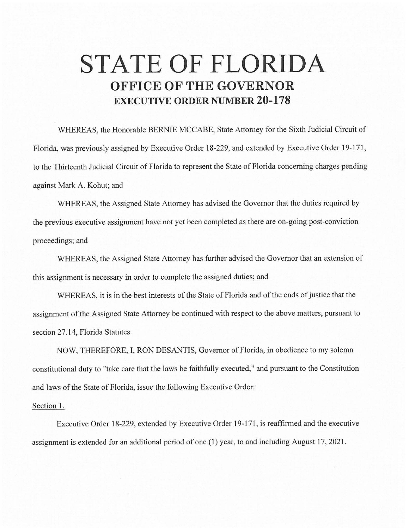## **STATE OF FLORIDA OFFICE OF THE GOVERNOR EXECUTIVE ORDER NUMBER 20-178**

WHEREAS, the Honorable BERNIE MCCABE, State Attorney for the Sixth Judicial Circuit of Florida, was previously assigned by Executive Order 18-229, and extended by Executive Order 19-171, to the Thirteenth Judicial Circuit of Florida to represent the State of Florida concerning charges pending against Mark A. Kohut; and

WHEREAS, the Assigned State Attorney has advised the Governor that the duties required by the previous executive assignment have not yet been completed as there are on-going post-conviction proceedings; and

WHEREAS, the Assigned State Attorney has further advised the Governor that an extension of this assignment is necessary in order to complete the assigned duties; and

WHEREAS, it is in the best interests of the State of Florida and of the ends of justice that the assignment of the Assigned State Attorney be continued with respect to the above matters, pursuant to section 27.14, Florida Statutes.

NOW, THEREFORE, I, RON DESANTIS, Governor of Florida, in obedience to my solemn constitutional duty to "take care that the laws be faithfully executed," and pursuant to the Constitution and laws of the State of Florida, issue the following Executive Order:

## Section 1.

Executive Order 18-229, extended by Executive Order 19-171, is reaffirmed and the executive assignment is extended for an additional period of one (1) year, to and including August 17, 2021.